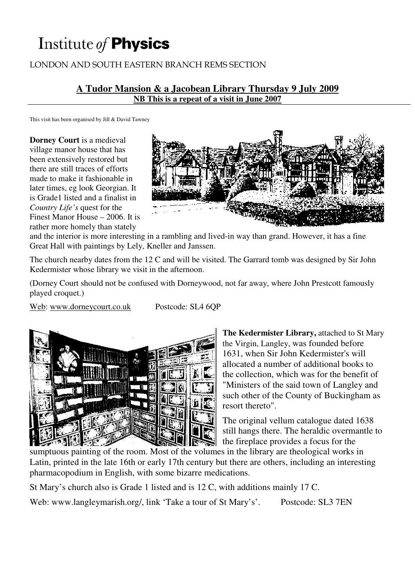# Institute of Physics

# LONDON AND SOUTH EASTERN BRANCH REMS SECTION

#### **A Tudor Mansion & a Jacobean Library Thursday 9 July 2009 NB This is a repeat of a visit in June 2007**

This visit has been organised by Jill & David Tawney

**Dorney Court** is a medieval village manor house that has been extensively restored but there are still traces of efforts made to make it fashionable in later times, eg look Georgian. It is Grade1 listed and a finalist in *Country Life's* quest for the

Finest Manor House – 2006. It is rather more homely than stately



and the interior is more interesting in a rambling and lived-in way than grand. However, it has a fine Great Hall with paintings by Lely, Kneller and Janssen.

The church nearby dates from the 12 C and will be visited. The Garrard tomb was designed by Sir John Kedermister whose library we visit in the afternoon.

(Dorney Court should not be confused with Dorneywood, not far away, where John Prestcott famously played croquet.)

Web: www.dorneycourt.co.uk Postcode: SL4 6QP



**The Kedermister Library,** attached to St Mary the Virgin, Langley, was founded before 1631, when Sir John Kedermister's will allocated a number of additional books to the collection, which was for the benefit of "Ministers of the said town of Langley and such other of the County of Buckingham as resort thereto".

The original vellum catalogue dated 1638 still hangs there. The heraldic overmantle to the fireplace provides a focus for the

sumptuous painting of the room. Most of the volumes in the library are theological works in Latin, printed in the late 16th or early 17th century but there are others, including an interesting pharmacopodium in English, with some bizarre medications.

St Mary's church also is Grade 1 listed and is 12 C, with additions mainly 17 C. Web: www.langleymarish.org/, link 'Take a tour of St Mary's'. Postcode: SL3 7EN